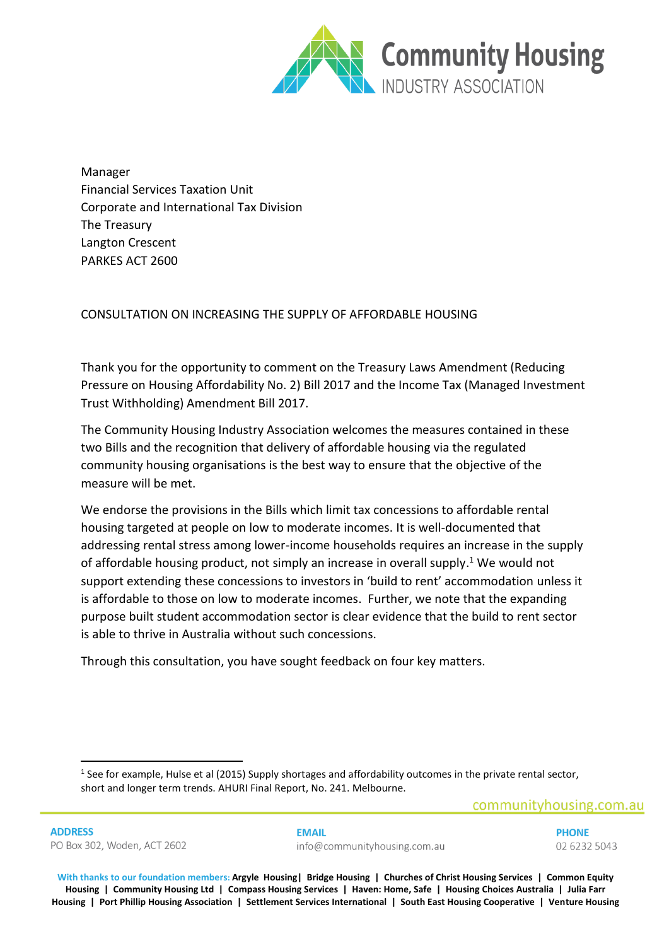

Manager Financial Services Taxation Unit Corporate and International Tax Division The Treasury Langton Crescent PARKES ACT 2600

# CONSULTATION ON INCREASING THE SUPPLY OF AFFORDABLE HOUSING

Thank you for the opportunity to comment on the Treasury Laws Amendment (Reducing Pressure on Housing Affordability No. 2) Bill 2017 and the Income Tax (Managed Investment Trust Withholding) Amendment Bill 2017.

The Community Housing Industry Association welcomes the measures contained in these two Bills and the recognition that delivery of affordable housing via the regulated community housing organisations is the best way to ensure that the objective of the measure will be met.

We endorse the provisions in the Bills which limit tax concessions to affordable rental housing targeted at people on low to moderate incomes. It is well-documented that addressing rental stress among lower-income households requires an increase in the supply of affordable housing product, not simply an increase in overall supply.<sup>1</sup> We would not support extending these concessions to investors in 'build to rent' accommodation unless it is affordable to those on low to moderate incomes. Further, we note that the expanding purpose built student accommodation sector is clear evidence that the build to rent sector is able to thrive in Australia without such concessions.

Through this consultation, you have sought feedback on four key matters.

1

**FMAIL**  $info@communityhousing.com.au$ 

<sup>&</sup>lt;sup>1</sup> See for example, Hulse et al (2015) Supply shortages and affordability outcomes in the private rental sector, short and longer term trends. AHURI Final Report, No. 241. Melbourne.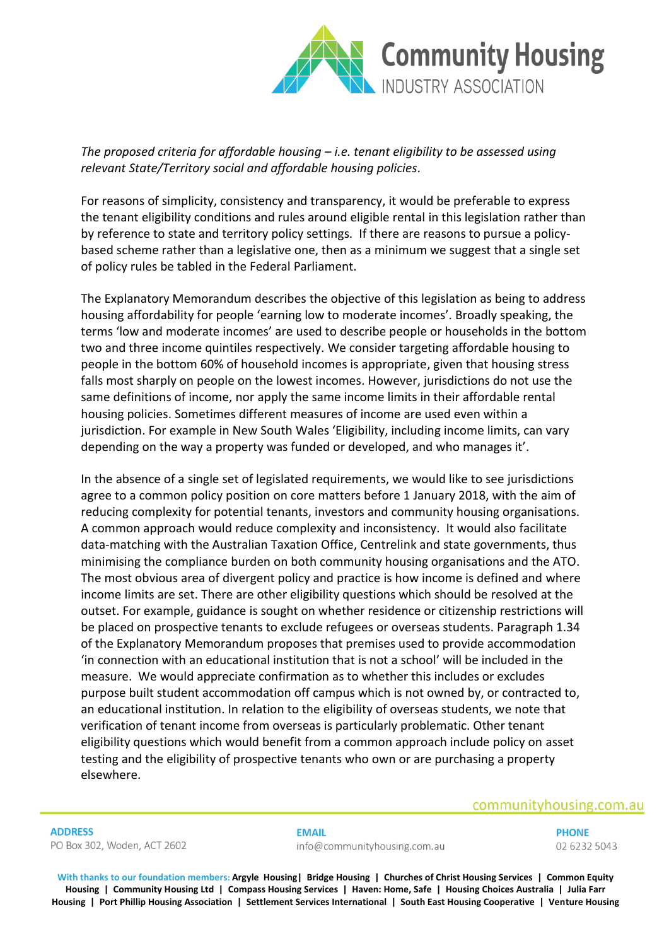

*The proposed criteria for affordable housing – i.e. tenant eligibility to be assessed using relevant State/Territory social and affordable housing policies.*

For reasons of simplicity, consistency and transparency, it would be preferable to express the tenant eligibility conditions and rules around eligible rental in this legislation rather than by reference to state and territory policy settings. If there are reasons to pursue a policybased scheme rather than a legislative one, then as a minimum we suggest that a single set of policy rules be tabled in the Federal Parliament.

The Explanatory Memorandum describes the objective of this legislation as being to address housing affordability for people 'earning low to moderate incomes'. Broadly speaking, the terms 'low and moderate incomes' are used to describe people or households in the bottom two and three income quintiles respectively. We consider targeting affordable housing to people in the bottom 60% of household incomes is appropriate, given that housing stress falls most sharply on people on the lowest incomes. However, jurisdictions do not use the same definitions of income, nor apply the same income limits in their affordable rental housing policies. Sometimes different measures of income are used even within a jurisdiction. For example in New South Wales 'Eligibility, including income limits, can vary depending on the way a property was funded or developed, and who manages it'.

In the absence of a single set of legislated requirements, we would like to see jurisdictions agree to a common policy position on core matters before 1 January 2018, with the aim of reducing complexity for potential tenants, investors and community housing organisations. A common approach would reduce complexity and inconsistency. It would also facilitate data-matching with the Australian Taxation Office, Centrelink and state governments, thus minimising the compliance burden on both community housing organisations and the ATO. The most obvious area of divergent policy and practice is how income is defined and where income limits are set. There are other eligibility questions which should be resolved at the outset. For example, guidance is sought on whether residence or citizenship restrictions will be placed on prospective tenants to exclude refugees or overseas students. Paragraph 1.34 of the Explanatory Memorandum proposes that premises used to provide accommodation 'in connection with an educational institution that is not a school' will be included in the measure. We would appreciate confirmation as to whether this includes or excludes purpose built student accommodation off campus which is not owned by, or contracted to, an educational institution. In relation to the eligibility of overseas students, we note that verification of tenant income from overseas is particularly problematic. Other tenant eligibility questions which would benefit from a common approach include policy on asset testing and the eligibility of prospective tenants who own or are purchasing a property elsewhere.

## communityhousing.com.au

**ADDRESS** PO Box 302, Woden, ACT 2602

#### **EMAIL** info@communityhousing.com.au

**PHONE** 02 6232 5043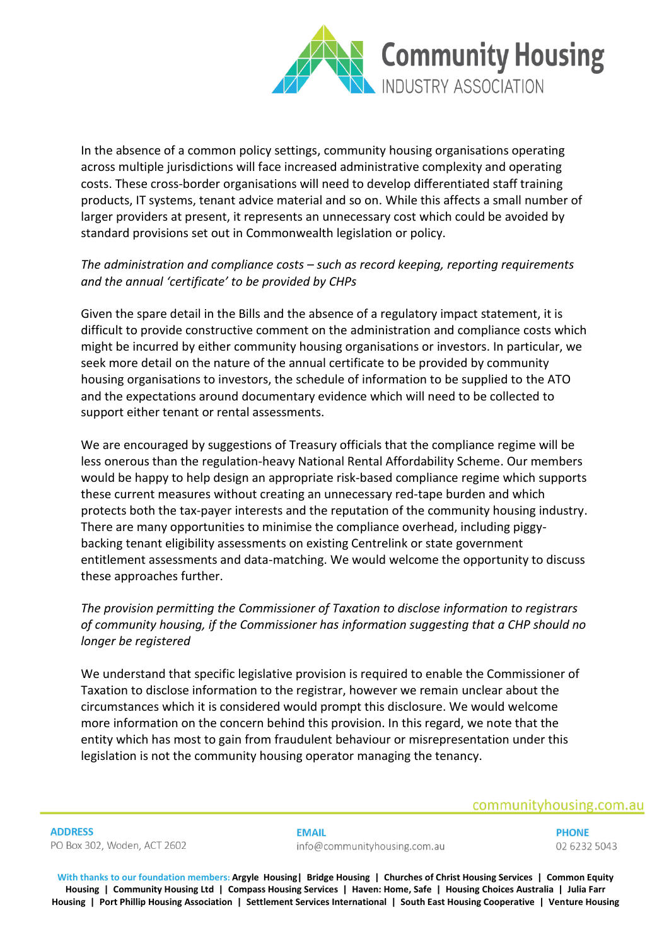

In the absence of a common policy settings, community housing organisations operating across multiple jurisdictions will face increased administrative complexity and operating costs. These cross-border organisations will need to develop differentiated staff training products, IT systems, tenant advice material and so on. While this affects a small number of larger providers at present, it represents an unnecessary cost which could be avoided by standard provisions set out in Commonwealth legislation or policy.

# *The administration and compliance costs – such as record keeping, reporting requirements and the annual 'certificate' to be provided by CHPs*

Given the spare detail in the Bills and the absence of a regulatory impact statement, it is difficult to provide constructive comment on the administration and compliance costs which might be incurred by either community housing organisations or investors. In particular, we seek more detail on the nature of the annual certificate to be provided by community housing organisations to investors, the schedule of information to be supplied to the ATO and the expectations around documentary evidence which will need to be collected to support either tenant or rental assessments.

We are encouraged by suggestions of Treasury officials that the compliance regime will be less onerous than the regulation-heavy National Rental Affordability Scheme. Our members would be happy to help design an appropriate risk-based compliance regime which supports these current measures without creating an unnecessary red-tape burden and which protects both the tax-payer interests and the reputation of the community housing industry. There are many opportunities to minimise the compliance overhead, including piggybacking tenant eligibility assessments on existing Centrelink or state government entitlement assessments and data-matching. We would welcome the opportunity to discuss these approaches further.

# *The provision permitting the Commissioner of Taxation to disclose information to registrars of community housing, if the Commissioner has information suggesting that a CHP should no longer be registered*

We understand that specific legislative provision is required to enable the Commissioner of Taxation to disclose information to the registrar, however we remain unclear about the circumstances which it is considered would prompt this disclosure. We would welcome more information on the concern behind this provision. In this regard, we note that the entity which has most to gain from fraudulent behaviour or misrepresentation under this legislation is not the community housing operator managing the tenancy.

# communityhousing.com.au

**ADDRESS** PO Box 302, Woden, ACT 2602

## **EMAIL** info@communityhousing.com.au

**PHONE** 02 6232 5043